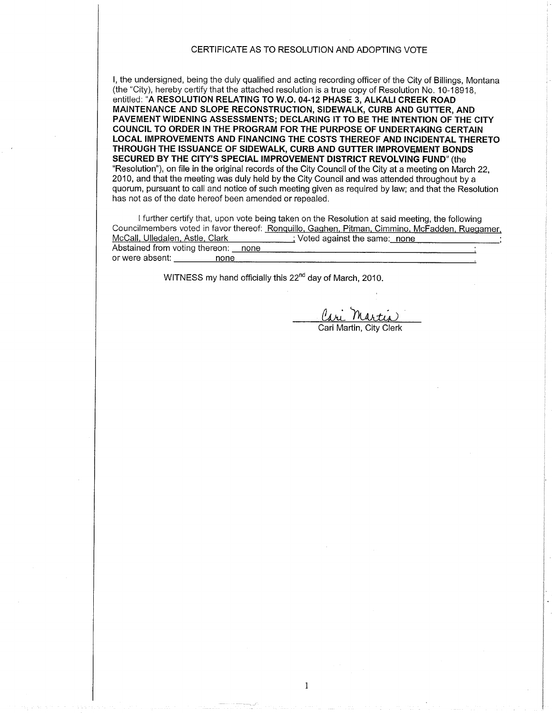## CERTIFICATE AS TO RESOLUTION AND ADOPTING VOTE

l, the undersigned, being the duly qualified and acting recording officer of the City of Billings, Montana (the "City), hereby certify that the attached resolution is a true copy of Resolution No. 10-18918, entitled: "A RESOLUTION RELATING TO W.O. 04-12 PHASE 3, ALKALI CREEK ROAD MAINTENANCE AND SLOPE RECONSTRUCTION, SIDEWALK, CURB AND GUTTER, AND PAVEMENT WIDENING ASSESSMENTS; DECLARING lT TO BE THE INTENTION OF THE CITY COUNCIL TO ORDER IN THE PROGRAM FOR THE PURPOSE OF UNDERTAKING CERTAIN LOCAL IMPROVEMENTS AND FINANCING THE COSTS THEREOF AND INCIDENTAL THERETO THROUGH THE ISSUANCE OF SIDEWALK, CURB AND GUTTER IMPROVEMENT BONDS SECURED BY THE CITY'S SPECIAL IMPROVEMENT DISTRICT REVOLVING FUND" (the "Resolution"), on file in the original records of the City Council of the City at a meeting on March 22, 2010, and that the meeting was duly held by the City Council and was attended throughout by a quorum, pursuant to call and notice of such meeting given as required by law; and that the Resolution has not as of the date hereof been amended or repealed.

I further certify that, upon vote being taken on the Resolution at said meeting, the following Councilmembers voted in favor thereof: Ronquillo, Gaghen, Pitman, Cimmino, McFadden, Ruegamer,<br>McCall, Ulledalen, Astle, Clark (in the control of Voted against the same: none  $\therefore$  Voted against the same: none Abstained from voting thereon: none or were absent: none

 $\mathbf{1}$ 

WITNESS my hand officially this 22<sup>nd</sup> day of March, 2010.

<u>lari Martis</u>

Cari Martin, City Clerk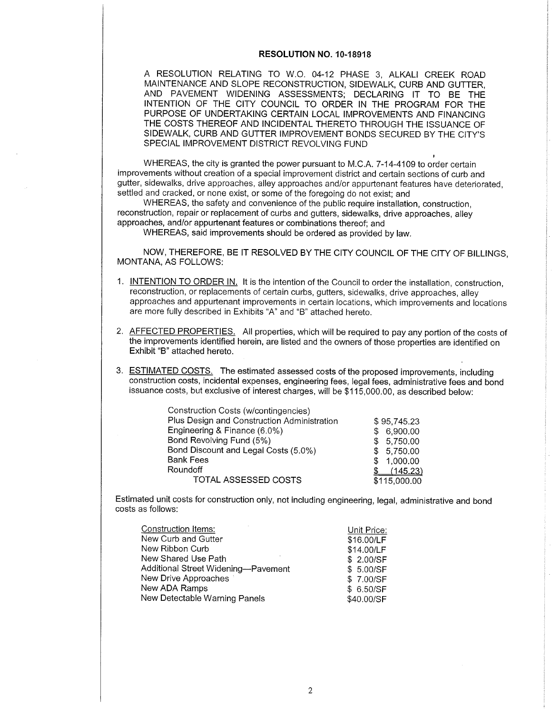## RESOLUTION NO. 10-18918

A RESOLUTION RELATING TO W.O. 04-12 PHASE 3, ALKALI CREEK ROAD MAINTENANCE AND SLOPE RECONSTRUCTION, SIDEWALK, CURB AND GUTTER, AND PAVEMENT WIDENING ASSESSMENTS; DECLARING IT TO BE THE INTENTION OF THE CITY COUNCIL TO ORDER IN THE PROGRAM FOR THE PURPOSE OF UNDERTAKING CERTAIN LOCAL IMPROVEMENTS AND FINANCING THE COSTS THEREOF AND INCIDENTAL THERETO THROUGH THE ISSUANCE OF SIDEWALK, CURB AND GUTTER IMPROVEMENT BONDS SECURED BY THE CITY'S SPECIAL IMPROVEMENT DISTRICT REVOLVING FUND

WHEREAS, the city is granted the power pursuant to M.C.A. 7-14-4109 to order certain improvements without creation of a special improvement district and certain sections of curb and gutter, sidewalks, drive approaches, alley approaches and/or appurtenant features have deteriorated, settled and cracked, or none exist, or some of the foregoing do not exist; and

WHEREAS, the safety and convenience of the public require installation, construction, reconstruction, repair or replacement of curbs and gutters, sidewalks, drive approaches, alley approaches, and/or appurtenant features or combinations thereof; and

WHEREAS, said improvements should be ordered as provided by law.

NOW, THEREFORE, BE IT RESOLVED BY THE CITY COUNCIL OF THE CITY OF BILLINGS, MONTANA, AS FOLLOWS:

- 1. INTENTION TO ORDER IN. It is the intention of the Council to order the installation, construction, reconstruction, or replacements of certain curbs, gutters, sidewalks, drive approaches, alley approaches and appurtenant improvements in ceftain locations, which improvements and locations are more fully described in Exhibits "4" and "8" attached hereto.
- 2. AFFECTED PROPERTIES. All properties, which will be required to pay any portion of the costs of the improvements identified herein, are listed and the owners of those properties are identified on Exhibit "8" attached hereto.
- 3. ESTIMATED COSTS. The estimated assessed costs of the proposed improvements, including construction costs, incidental expenses, engineering fees, legal fees, administrative fees and bond issuance costs, but exclusive of interest charges, will be \$115,000.00, as described below:

| Construction Costs (w/contingencies)        |              |
|---------------------------------------------|--------------|
| Plus Design and Construction Administration | \$95,745.23  |
| Engineering & Finance (6.0%)                | 6,900.00     |
| Bond Revolving Fund (5%)                    | 5,750.00     |
| Bond Discount and Legal Costs (5.0%)        | \$5,750.00   |
| <b>Bank Fees</b>                            | 1,000.00     |
| Roundoff                                    | (145.23)     |
| TOTAL ASSESSED COSTS                        | \$115,000.00 |

Estimated unit costs for construction only, not including engineering, legal, administrative and bond costs as follows:

| Construction Items:                 | Unit Price: |
|-------------------------------------|-------------|
| New Curb and Gutter                 | \$16.00/LF  |
| New Ribbon Curb                     | \$14.00/LF  |
| New Shared Use Path                 | \$ 2.00/SF  |
| Additional Street Widening-Pavement | \$ 5.00/SF  |
| New Drive Approaches                | \$7.00/SF   |
| New ADA Ramps                       | \$6.50/SF   |
| New Detectable Warning Panels       | \$40.00/SF  |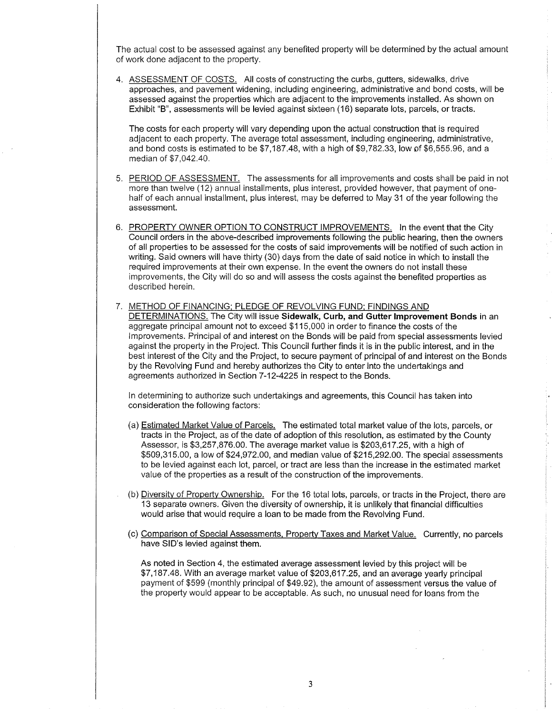The actual cost to be assessed against any benefited property will be determined by the actual amount of work done adjacent to the propefty.

4. ASSESSMENT OF COSTS. All costs of constructing the curbs, gutters, sidewalks, drive approaches, and pavemeni widening, including engineering, administrative and bond costs, will be assessed against the properties which are adjacent to the improvements installed. As shown on Exhibit "B", assessments will be levied against sixteen (16) separate lots, parcels, or tracts.

The costs for each property will vary depending upon the actual construction that is required adjacent to each property. The average total assessment, including engineering, administrative, and bond costs is estimated to be  $$7,187.48$ , with a high of  $$9,782.33$ , low of  $$6,555.96$ , and a median of \$7.042.40.

- 5. PERIOD OF ASSESSMENT. The assessments for all improvements and costs shall be paid in not more than twelve (12) annual installments, plus interest, provided however, that payment of onehalf of each annual installment, plus interest, may be deferred to May 31 of the year following the assessment.
- 6. PROPERTY OWNER OPTION TO CONSTRUCT IMPROVEMENTS. In the event that the City Council orders in the above-described improvements following the public hearing, then the owners of all propefties to be assessed for the costs of said improvements will be notified of such action in writing. Said owners will have thirty (30) days from the date of said notice in which to install the required improvements at their own expense. In the event the owners do not install these improvements, the City will do so and will assess the costs against the benefited propefties as described herein.
- 7. METHOD OF FINANCING: PLEDGE OF REVOLVING FUND: FINDINGS AND DETERMINATIONS. The City will issue Sidewalk, Curb, and Gutter Improvement Bonds in an aggregate principal amouni not to exceed \$1 15,000 in order to finance the costs of the lmprovements. Principal of and interest on the Bonds will be paid from special assessments levied against the property in the Project. This Council fufther finds it is in the public interest, and in the best interest of the City and the Project, to secure payment of principal of and interest on the Bonds by the Revolving Fund and hereby authorizes the City to enter into the undeftakings and agreements authorized in Section 7-12-4225 in respect to the Bonds.

ln determining to authorize such undertakings and agreements, this Council has taken into consideration the following factors:

- (a) Estimated Market Value of Parcels. The estimated total market value of the lots, parcels, or tracts in the Project, as of the date of adoption of this resolution, as estimated by the County Assessor, is \$3,257,876.00. The average market value is \$203,617.25, with a high of \$509,315.00, a low of \$24,972.00, and median value of \$215,292.00. The special assessments to be levied against each lot, parcel, or tract are less than the increase in the estimated market value of the properties as a result of the construction of the improvements.
- (b) Diversitv of Propefiv Ownership. For the 16 total lots, parcels, or tracts in the Project, there are 13 separate owners. Given the diversity of ownership, it is unlikely that financial difficulties would arise that would require a loan to be made from the Revolving Fund.
- (c) Comparison of Special Assessments. Propertv Taxes and Market Value. Currently, no parcels have SID's levied against them.

As noted in Section 4, the estimated average assessment levied by this project will be \$7,187.48. With an average market value of \$203,617.25, and an average yearly principal payment of \$599 (monthly principal of \$49.92), the amount of assessment versus the value of the propedy would appear to be acceptable. As such, no unusual need for loans from the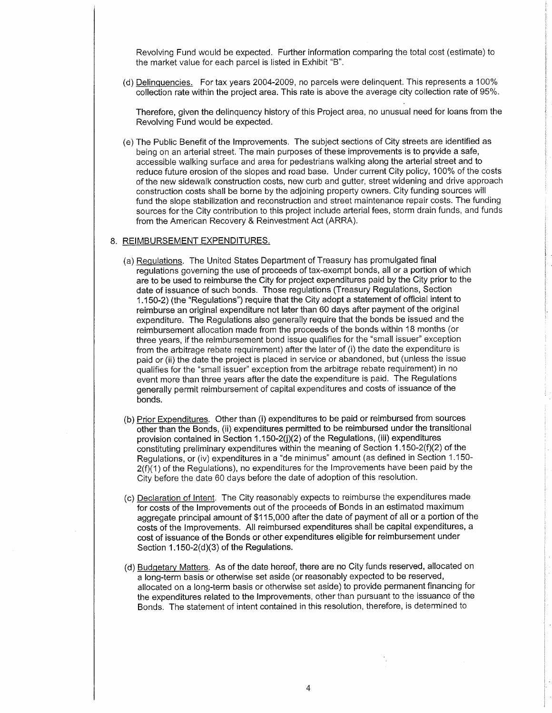Revolving Fund would be expected. Further information comparing the total cost (estimate) to the market value for each parcel is listed in Exhibit "8".

(d) Delinquencies. For tax years 2004-2009, no parcels were delinquent. This represents a 100% collection rate within the project area. This rate is above the average city collection rate of 95%.

Therefore, given the delinquency history of this Project area, no unusual need for loans from the Revolving Fund would be expected.

(e) The Public Benefit of the lmprovements. The subject sections of City streets are identified as being on an arterial street. The main purposes of these improvements is to provide a safe, accessible walking surface and area for pedestrians walking along the arterial street and to reduce future erosion of the slopes and road base. Under current City policy, 100% of the costs of the new sidewalk construction costs, new curb and gutter, street widening and drive approach construction costs shall be borne by the adjoining property owners. City funding sources will fund the slope stabilization and reconstruction and street maintenance repair costs. The funding sources for the City contribution to this project include arterial fees, storm drain funds, and funds from the American Recovery & Reinvestment Act (ARRA).

#### 8. <u>REIMBURSEMENT EXPENDITURES</u>

- (a) Requlations. The United States Department of Treasury has promulgated final regulations governing the use of proceeds of tax-exempt bonds, all or a portion of which are to be used to reimburse the City for project expenditures paid by the City prior to the date of issuance of such bonds. Those regulations (Treasury Regulations, Section 1.150-2) (the "Regulations") require that the City adopt a statement of official intent to reimburse an original expenditure not later than 60 days after payment of the original expenditure. The Regulations also generally require that the bonds be issued and the reimbursement allocation made from the proceeds of the bonds within 18 months (or three years, if the reimbursement bond issue qualifies for the "small issuer" exception from the arbitrage rebate requirement) after the later of (i) the date the expenditure is paid or (ii) the date the project is placed in service or abandoned, but (unless the issue qualifies for the "small issuer" exception from the arbitrage rebate requirement) in no event more than three years after the date the expenditure is paid. The Regulations generally permit reimbursement of capital expenditures and costs of issuance of the bonds.
- (b) Prior Expenditures. Other than (i) expenditures to be paid or reimbursed from sources other than the Bonds, (ii) expenditures permitted to be reimbursed under the transitional provision contained in Section 1.150-2(j)(2) of the Regulations, (iii) expenditures constituting preliminary expenditures within the meaning of Section 1.150-2(f)(2) of the Regulations, or (iv) expenditures in a "de minimus" amount (as defined in Section 1.150-  $2(f)(1)$  of the Regulations), no expenditures for the Improvements have been paid by the City before the date 60 days before the date of adoption of this resolution.
- (c) Declaration of lntent. The City reasonably expects to reimburse the expenditures made for costs of the lmprovements out of the proceeds of Bonds in an estimated maximum aggregate principal amount of \$115,000 after the date of payment of all or a portion of the costs of the lmprovements. All reimbursed expenditures shall be capital expenditures, a cost of issuance of the Bonds or other expenditures eligible for reimbursement under Section  $1.150-2(d)(3)$  of the Regulations.
- (d) Budqetarv Matters. As of the date hereof, there are no City funds reserved, allocated on a long-term basis or otherwise set aside (or reasonably expected to be reserved, allocated on a long-term basis or otherwise set aside) to provide permanent financing for the expenditures related to the lmprovements, other than pursuant to the issuance of the Bonds. The statement of intent contained in this resolution, therefore, is determined to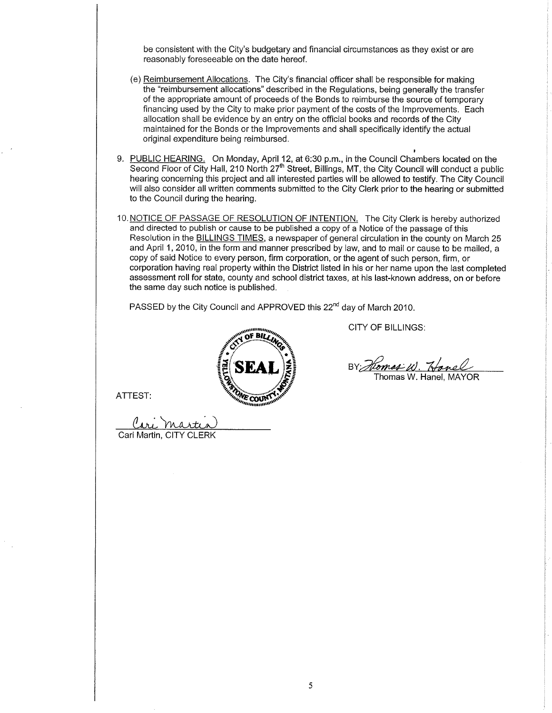be consistent with the City's budgetary and financial circumstances as they exist or are reasonably foreseeable on the date hereof.

- (e) Reimbursement Allocations. The City's financial officer shall be responsible for making the "reimbursement allocations" described in the Regulations, being generally the transfer of the appropriate amount of proceeds of the Bonds to reimburse the source of temporary financing used by the City to make prior payment of the costs of the lmprovements. Each allocation shall be evidence by an entry on the official books and records of the City maintained for the Bonds or the lmprovements and shall specifically identify the actual original expenditure being reimbursed.
- 9. PUBLIC HEARING. On Monday, April 12, at 6:30 p.m., in the Council Chambers located on the Second Floor of City Hall, 210 North 27<sup>th</sup> Street, Billings, MT, the City Council will conduct a public hearing concerning this project and all interested parties will be allowed to testify. The City Council will also consider all written comments submitted to the City Clerk prior to the hearing or submitted to the Council during the hearing.
- 10. NOTICE OF PASSAGE OF RESOLUTION OF INTENTION. The City Clerk is hereby authorized and directed to publish or cause to be published a copy of a Notice of the passage of this Resolution in the BILLINGS TIMES, a newspaper of general circulation in the county on March 25 and April 1,2010, in the form and manner prescribed by law, and to mail or cause to be mailed, a copy of said Notice to every person, firm corporation, or the agent of such person, firm, or corporation having real property within the District listed in his or her name upon the last completed assessment roll for state, county and school district taxes, at his last-known address, on or before the same day such notice is published.

PASSED by the City Council and APPROVED this 22<sup>nd</sup> day of March 2010.

,,,,,,,,, nf Bir **the Company's Company's Service** liseal) **partie 1999**  CITY OF BILLINGS:

BY: *Homas W. Hanel*<br>Thomas W. Hanel, MAYOR

ATTEST:

<u>Cari Marti</u> Cari Martin, CITY CLERK

5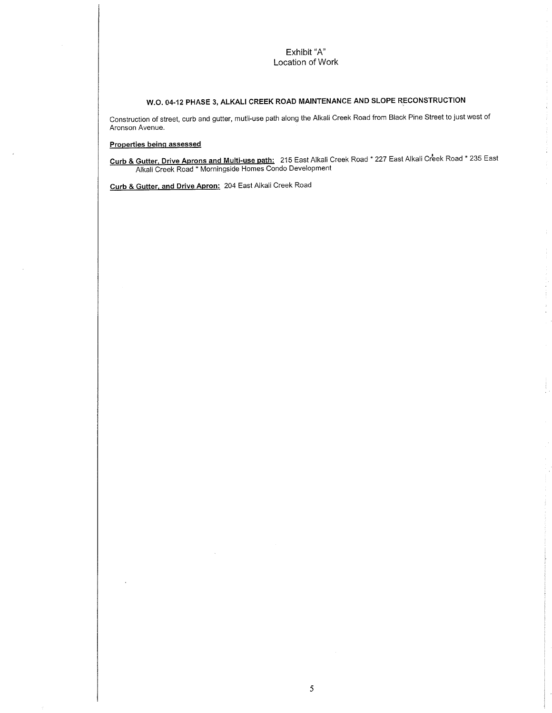## Exhibit "A" Location of Work

# W.O. 04-12 PHASE 3, ALKALI CREEK ROAD MAINTENANCE AND SLOPE RECONSTRUCTION

Construction of street, curb and gutter, mutli-use path along the Alkali Creek Road from Black Pine Street to just west of Aronson Avenue.

### Properties beinq assessed

Curb & Gutter. Drive Aprons and Multi-use path: 215 East Alkali Creek Road \* 227 East Alkali Cr'eek Road \* 235 East **Alkali Creek Road \* Morningside Homes Condo Development** 

> Ĵ.  $\frac{1}{\sqrt{2}}$

Curb & Gutter. and Drive Apron: 204 East Alkali Creek Road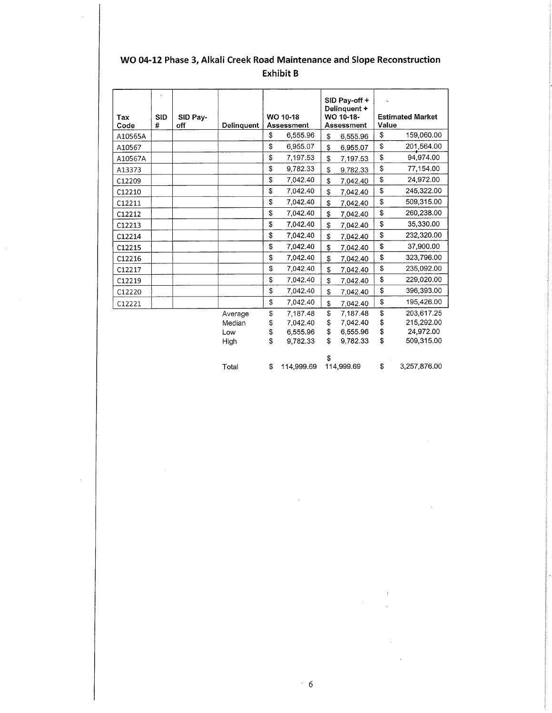| Tax<br>Code | <b>SID</b><br># | SID Pay-<br>off | Delinquent | WO 10-18<br>Assessment |          | SID Pay-off +<br>Delinquent +<br>WO 10-18-<br><b>Assessment</b> |          | ċ.<br><b>Estimated Market</b><br>Value |            |
|-------------|-----------------|-----------------|------------|------------------------|----------|-----------------------------------------------------------------|----------|----------------------------------------|------------|
| A10565A     |                 |                 |            | \$                     | 6,555.96 | \$                                                              | 6,555.96 | \$                                     | 159,060.00 |
| A10567      |                 |                 |            | \$                     | 6.955.07 | \$                                                              | 6,955.07 | \$                                     | 201,564.00 |
| A10567A     |                 |                 |            | \$                     | 7,197.53 | \$                                                              | 7,197.53 | \$                                     | 94,974.00  |
| A13373      |                 |                 |            | \$                     | 9.782.33 | \$                                                              | 9,782.33 | \$                                     | 77,154.00  |
| C12209      |                 |                 |            | \$                     | 7,042.40 | \$                                                              | 7,042.40 | \$                                     | 24,972.00  |
| C12210      |                 |                 |            | \$                     | 7,042.40 | \$                                                              | 7,042.40 | \$                                     | 245,322.00 |
| C12211      |                 |                 |            | \$                     | 7,042.40 | \$                                                              | 7,042.40 | \$                                     | 509,315.00 |
| C12212      |                 |                 |            | \$                     | 7,042.40 | \$                                                              | 7,042.40 | \$                                     | 260,238.00 |
| C12213      |                 |                 |            | \$                     | 7,042.40 | \$                                                              | 7.042.40 | S                                      | 35,330.00  |
| C12214      |                 |                 |            | \$                     | 7,042.40 | \$                                                              | 7,042.40 | \$                                     | 232,320.00 |
| C12215      |                 |                 |            | \$                     | 7,042.40 | \$                                                              | 7,042.40 | \$                                     | 37,900.00  |
| C12216      |                 |                 |            | \$                     | 7,042.40 | \$                                                              | 7,042.40 | \$                                     | 323,796.00 |
| C12217      |                 |                 |            | \$                     | 7,042.40 | \$                                                              | 7,042.40 | \$                                     | 235.092.00 |
| C12219      |                 |                 |            | \$                     | 7,042.40 | \$                                                              | 7,042.40 | \$                                     | 229,020.00 |
| C12220      |                 |                 |            | \$                     | 7,042.40 | Ŝ.                                                              | 7,042.40 | \$                                     | 396,393.00 |
| C12221      |                 |                 |            | \$                     | 7,042.40 | \$                                                              | 7,042.40 | \$                                     | 195,426.00 |
|             |                 |                 | Average    | \$                     | 7,187.48 | \$                                                              | 7,187.48 | \$                                     | 203.617.25 |
|             |                 |                 | Median     | \$                     | 7.042.40 | \$                                                              | 7,042.40 | \$                                     | 215,292.00 |
|             |                 |                 | Low        | \$                     | 6.555.96 | \$                                                              | 6,555.96 | \$                                     | 24,972.00  |
|             |                 |                 | High       | \$                     | 9.782.33 | \$                                                              | 9.782.33 | \$                                     | 509,315.00 |

## WO 04-12 Phase 3, Alkali Creek Road Maintenance and Slope Reconstruction **Exhibit B**

 $$$  114,999.69 114,999.69 3,257,876.00 Total  $\, \, \$